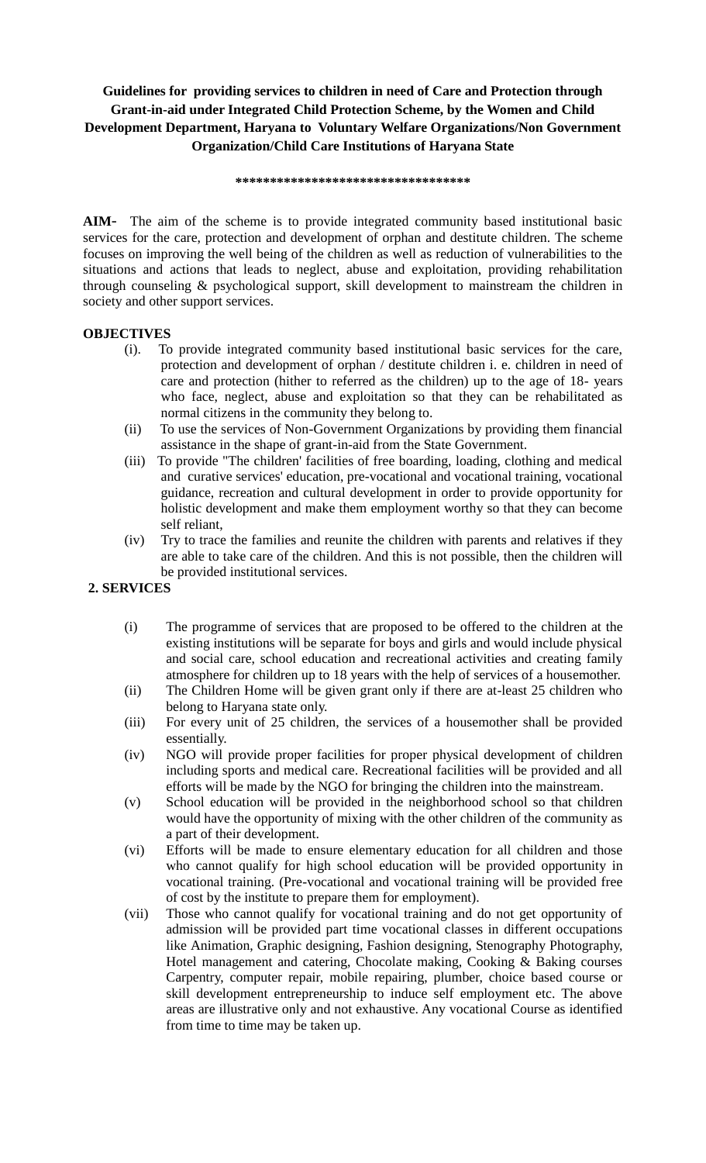## **Guidelines for providing services to children in need of Care and Protection through Grant-in-aid under Integrated Child Protection Scheme, by the Women and Child Development Department, Haryana to Voluntary Welfare Organizations/Non Government Organization/Child Care Institutions of Haryana State**

**\*\*\*\*\*\*\*\*\*\*\*\*\*\*\*\*\*\*\*\*\*\*\*\*\*\*\*\*\*\*\*\*\*\***

**AIM**- The aim of the scheme is to provide integrated community based institutional basic services for the care, protection and development of orphan and destitute children. The scheme focuses on improving the well being of the children as well as reduction of vulnerabilities to the situations and actions that leads to neglect, abuse and exploitation, providing rehabilitation through counseling & psychological support, skill development to mainstream the children in society and other support services.

## **OBJECTIVES**

- (i). To provide integrated community based institutional basic services for the care, protection and development of orphan / destitute children i. e. children in need of care and protection (hither to referred as the children) up to the age of 18- years who face, neglect, abuse and exploitation so that they can be rehabilitated as normal citizens in the community they belong to.
- (ii) To use the services of Non-Government Organizations by providing them financial assistance in the shape of grant-in-aid from the State Government.
- (iii) To provide "The children' facilities of free boarding, loading, clothing and medical and curative services' education, pre-vocational and vocational training, vocational guidance, recreation and cultural development in order to provide opportunity for holistic development and make them employment worthy so that they can become self reliant,
- (iv) Try to trace the families and reunite the children with parents and relatives if they are able to take care of the children. And this is not possible, then the children will be provided institutional services.

## **2. SERVICES**

- (i) The programme of services that are proposed to be offered to the children at the existing institutions will be separate for boys and girls and would include physical and social care, school education and recreational activities and creating family atmosphere for children up to 18 years with the help of services of a housemother.
- (ii) The Children Home will be given grant only if there are at-least 25 children who belong to Haryana state only.
- (iii) For every unit of 25 children, the services of a housemother shall be provided essentially.
- (iv) NGO will provide proper facilities for proper physical development of children including sports and medical care. Recreational facilities will be provided and all efforts will be made by the NGO for bringing the children into the mainstream.
- (v) School education will be provided in the neighborhood school so that children would have the opportunity of mixing with the other children of the community as a part of their development.
- (vi) Efforts will be made to ensure elementary education for all children and those who cannot qualify for high school education will be provided opportunity in vocational training. (Pre-vocational and vocational training will be provided free of cost by the institute to prepare them for employment).
- (vii) Those who cannot qualify for vocational training and do not get opportunity of admission will be provided part time vocational classes in different occupations like Animation, Graphic designing, Fashion designing, Stenography Photography, Hotel management and catering, Chocolate making, Cooking & Baking courses Carpentry, computer repair, mobile repairing, plumber, choice based course or skill development entrepreneurship to induce self employment etc. The above areas are illustrative only and not exhaustive. Any vocational Course as identified from time to time may be taken up.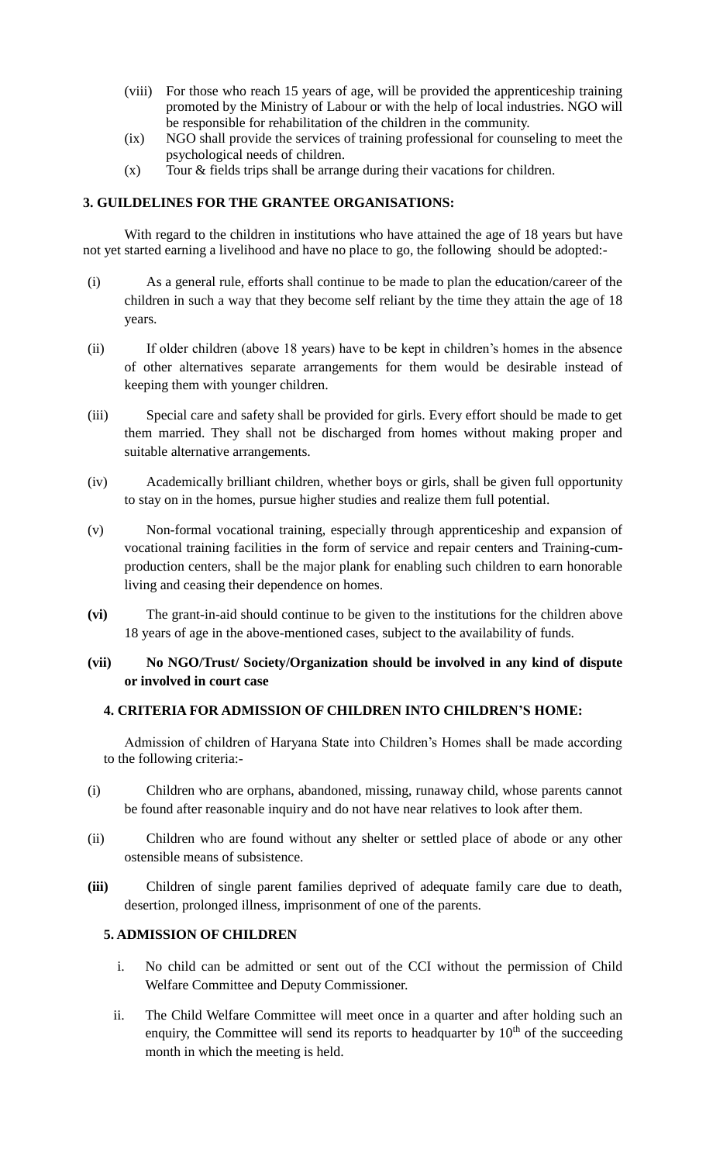- (viii) For those who reach 15 years of age, will be provided the apprenticeship training promoted by the Ministry of Labour or with the help of local industries. NGO will be responsible for rehabilitation of the children in the community.
- (ix) NGO shall provide the services of training professional for counseling to meet the psychological needs of children.
- (x) Tour & fields trips shall be arrange during their vacations for children.

#### **3. GUILDELINES FOR THE GRANTEE ORGANISATIONS:**

With regard to the children in institutions who have attained the age of 18 years but have not yet started earning a livelihood and have no place to go, the following should be adopted:-

- (i) As a general rule, efforts shall continue to be made to plan the education/career of the children in such a way that they become self reliant by the time they attain the age of 18 years.
- (ii) If older children (above 18 years) have to be kept in children's homes in the absence of other alternatives separate arrangements for them would be desirable instead of keeping them with younger children.
- (iii) Special care and safety shall be provided for girls. Every effort should be made to get them married. They shall not be discharged from homes without making proper and suitable alternative arrangements.
- (iv) Academically brilliant children, whether boys or girls, shall be given full opportunity to stay on in the homes, pursue higher studies and realize them full potential.
- (v) Non-formal vocational training, especially through apprenticeship and expansion of vocational training facilities in the form of service and repair centers and Training-cumproduction centers, shall be the major plank for enabling such children to earn honorable living and ceasing their dependence on homes.
- **(vi)** The grant-in-aid should continue to be given to the institutions for the children above 18 years of age in the above-mentioned cases, subject to the availability of funds.

## **(vii) No NGO/Trust/ Society/Organization should be involved in any kind of dispute or involved in court case**

## **4. CRITERIA FOR ADMISSION OF CHILDREN INTO CHILDREN'S HOME:**

Admission of children of Haryana State into Children's Homes shall be made according to the following criteria:-

- (i) Children who are orphans, abandoned, missing, runaway child, whose parents cannot be found after reasonable inquiry and do not have near relatives to look after them.
- (ii) Children who are found without any shelter or settled place of abode or any other ostensible means of subsistence.
- **(iii)** Children of single parent families deprived of adequate family care due to death, desertion, prolonged illness, imprisonment of one of the parents.

## **5. ADMISSION OF CHILDREN**

- i. No child can be admitted or sent out of the CCI without the permission of Child Welfare Committee and Deputy Commissioner.
- ii. The Child Welfare Committee will meet once in a quarter and after holding such an enquiry, the Committee will send its reports to headquarter by  $10<sup>th</sup>$  of the succeeding month in which the meeting is held.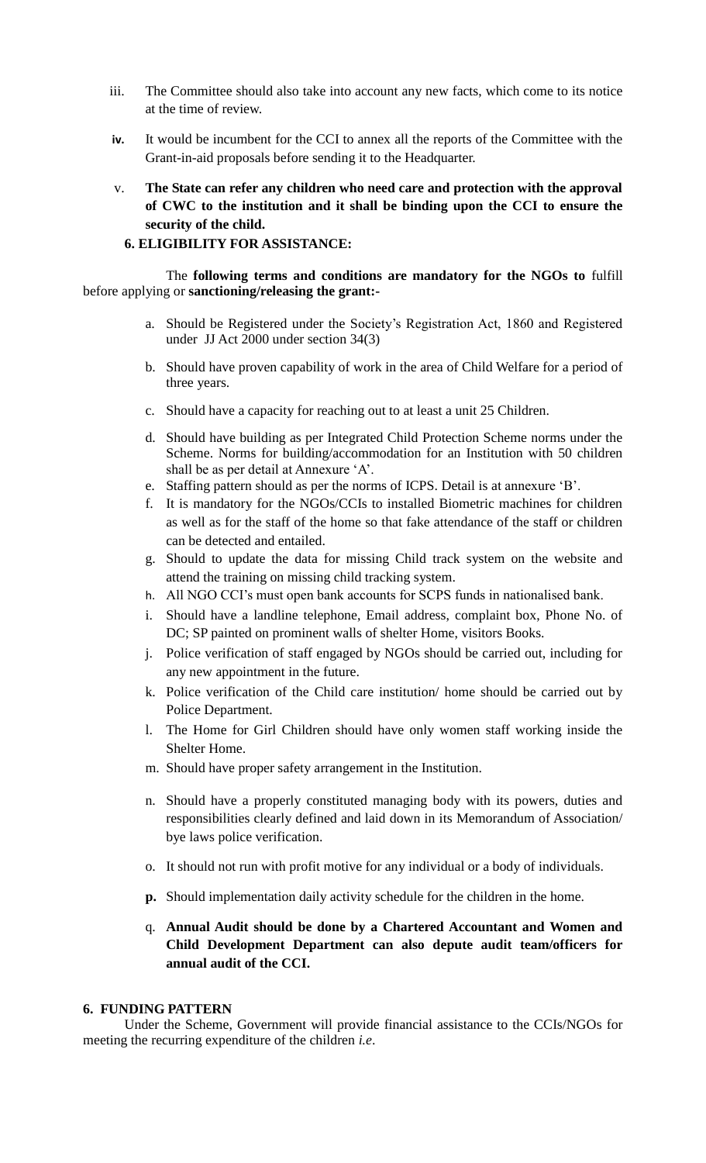- iii. The Committee should also take into account any new facts, which come to its notice at the time of review.
- **iv.** It would be incumbent for the CCI to annex all the reports of the Committee with the Grant-in-aid proposals before sending it to the Headquarter.
- v. **The State can refer any children who need care and protection with the approval of CWC to the institution and it shall be binding upon the CCI to ensure the security of the child.**

#### **6. ELIGIBILITY FOR ASSISTANCE:**

The **following terms and conditions are mandatory for the NGOs to** fulfill before applying or **sanctioning/releasing the grant:-**

- a. Should be Registered under the Society's Registration Act, 1860 and Registered under JJ Act 2000 under section 34(3)
- b. Should have proven capability of work in the area of Child Welfare for a period of three years.
- c. Should have a capacity for reaching out to at least a unit 25 Children.
- d. Should have building as per Integrated Child Protection Scheme norms under the Scheme. Norms for building/accommodation for an Institution with 50 children shall be as per detail at Annexure 'A'.
- e. Staffing pattern should as per the norms of ICPS. Detail is at annexure 'B'.
- f. It is mandatory for the NGOs/CCIs to installed Biometric machines for children as well as for the staff of the home so that fake attendance of the staff or children can be detected and entailed.
- g. Should to update the data for missing Child track system on the website and attend the training on missing child tracking system.
- h. All NGO CCI's must open bank accounts for SCPS funds in nationalised bank.
- i. Should have a landline telephone, Email address, complaint box, Phone No. of DC; SP painted on prominent walls of shelter Home, visitors Books.
- j. Police verification of staff engaged by NGOs should be carried out, including for any new appointment in the future.
- k. Police verification of the Child care institution/ home should be carried out by Police Department.
- l. The Home for Girl Children should have only women staff working inside the Shelter Home.
- m. Should have proper safety arrangement in the Institution.
- n. Should have a properly constituted managing body with its powers, duties and responsibilities clearly defined and laid down in its Memorandum of Association/ bye laws police verification.
- o. It should not run with profit motive for any individual or a body of individuals.
- **p.** Should implementation daily activity schedule for the children in the home.
- q. **Annual Audit should be done by a Chartered Accountant and Women and Child Development Department can also depute audit team/officers for annual audit of the CCI.**

#### **6. FUNDING PATTERN**

Under the Scheme, Government will provide financial assistance to the CCIs/NGOs for meeting the recurring expenditure of the children *i.e*.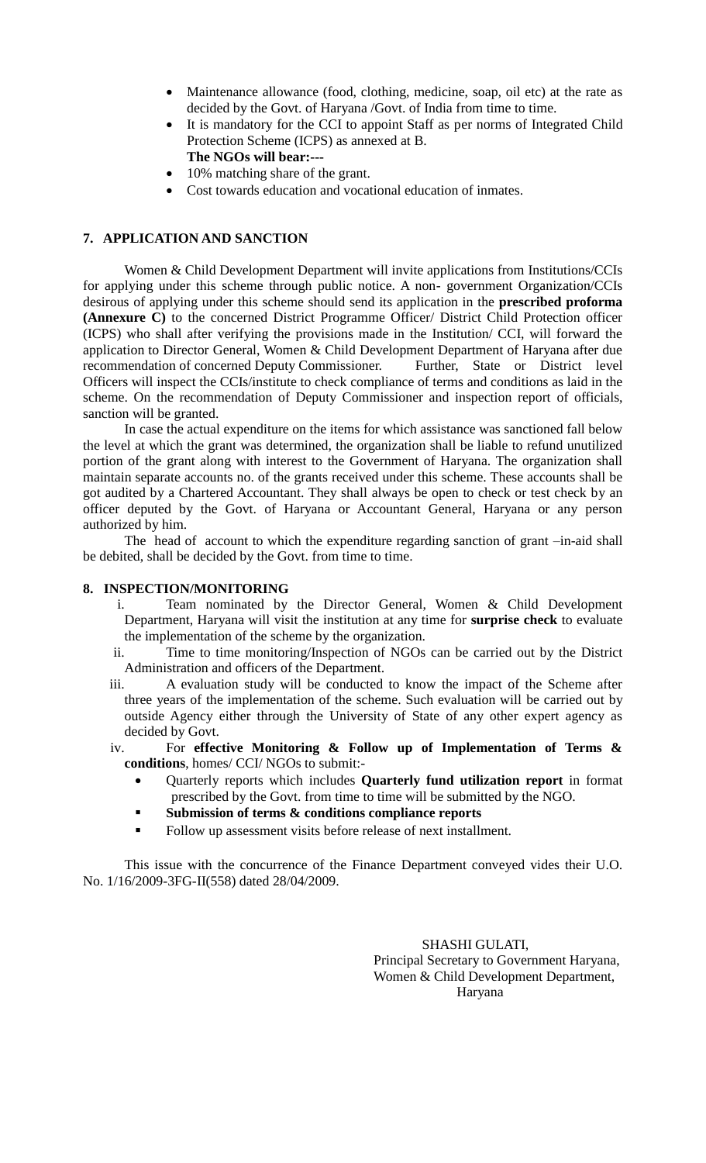- Maintenance allowance (food, clothing, medicine, soap, oil etc) at the rate as decided by the Govt. of Haryana /Govt. of India from time to time.
- It is mandatory for the CCI to appoint Staff as per norms of Integrated Child Protection Scheme (ICPS) as annexed at B. **The NGOs will bear:---**
- 10% matching share of the grant.
- Cost towards education and vocational education of inmates.

### **7. APPLICATION AND SANCTION**

Women & Child Development Department will invite applications from Institutions/CCIs for applying under this scheme through public notice. A non- government Organization/CCIs desirous of applying under this scheme should send its application in the **prescribed proforma (Annexure C)** to the concerned District Programme Officer/ District Child Protection officer (ICPS) who shall after verifying the provisions made in the Institution/ CCI, will forward the application to Director General, Women & Child Development Department of Haryana after due recommendation of concerned Deputy Commissioner. Further, State or District level Officers will inspect the CCIs/institute to check compliance of terms and conditions as laid in the scheme. On the recommendation of Deputy Commissioner and inspection report of officials, sanction will be granted.

In case the actual expenditure on the items for which assistance was sanctioned fall below the level at which the grant was determined, the organization shall be liable to refund unutilized portion of the grant along with interest to the Government of Haryana. The organization shall maintain separate accounts no. of the grants received under this scheme. These accounts shall be got audited by a Chartered Accountant. They shall always be open to check or test check by an officer deputed by the Govt. of Haryana or Accountant General, Haryana or any person authorized by him.

The head of account to which the expenditure regarding sanction of grant –in-aid shall be debited, shall be decided by the Govt. from time to time.

#### **8. INSPECTION/MONITORING**

- i. Team nominated by the Director General, Women & Child Development Department, Haryana will visit the institution at any time for **surprise check** to evaluate the implementation of the scheme by the organization.
- ii. Time to time monitoring/Inspection of NGOs can be carried out by the District Administration and officers of the Department.
- iii. A evaluation study will be conducted to know the impact of the Scheme after three years of the implementation of the scheme. Such evaluation will be carried out by outside Agency either through the University of State of any other expert agency as decided by Govt.
- iv. For **effective Monitoring & Follow up of Implementation of Terms & conditions**, homes/ CCI/ NGOs to submit:-
	- Quarterly reports which includes **Quarterly fund utilization report** in format prescribed by the Govt. from time to time will be submitted by the NGO.
	- **Submission of terms & conditions compliance reports**
	- Follow up assessment visits before release of next installment.

This issue with the concurrence of the Finance Department conveyed vides their U.O. No. 1/16/2009-3FG-II(558) dated 28/04/2009.

> SHASHI GULATI, Principal Secretary to Government Haryana, Women & Child Development Department, Haryana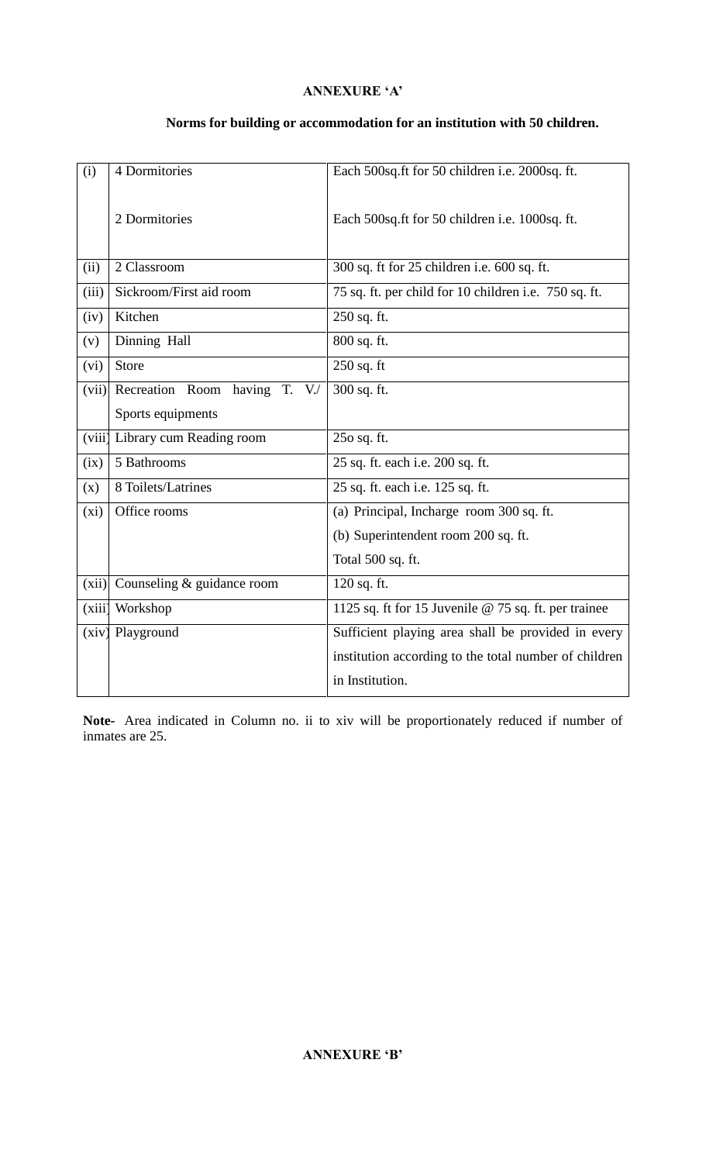## **ANNEXURE 'A'**

## **Norms for building or accommodation for an institution with 50 children.**

| (i)    | 4 Dormitories                                  | Each 500sq.ft for 50 children i.e. 2000sq.ft.         |  |
|--------|------------------------------------------------|-------------------------------------------------------|--|
|        | 2 Dormitories                                  | Each 500sq.ft for 50 children i.e. 1000sq.ft.         |  |
| (ii)   | 2 Classroom                                    | 300 sq. ft for 25 children i.e. 600 sq. ft.           |  |
| (iii)  | Sickroom/First aid room                        | 75 sq. ft. per child for 10 children i.e. 750 sq. ft. |  |
| (iv)   | Kitchen                                        | 250 sq. ft.                                           |  |
| (v)    | Dinning Hall                                   | 800 sq. ft.                                           |  |
| (vi)   | Store                                          | $250$ sq. ft                                          |  |
| (vii)  | Recreation Room<br>having<br>T.<br>$V_{\cdot}$ | 300 sq. ft.                                           |  |
|        | Sports equipments                              |                                                       |  |
| (viii) | Library cum Reading room                       | 250 sq. ft.                                           |  |
| (ix)   | 5 Bathrooms                                    | 25 sq. ft. each i.e. 200 sq. ft.                      |  |
| (x)    | 8 Toilets/Latrines                             | 25 sq. ft. each i.e. 125 sq. ft.                      |  |
| (xi)   | Office rooms                                   | (a) Principal, Incharge room 300 sq. ft.              |  |
|        |                                                | (b) Superintendent room 200 sq. ft.                   |  |
|        |                                                | Total 500 sq. ft.                                     |  |
| (xii)  | Counseling & guidance room                     | 120 sq. ft.                                           |  |
| (xiii) | Workshop                                       | 1125 sq. ft for 15 Juvenile @ 75 sq. ft. per trainee  |  |
| (xiv)  | Playground                                     | Sufficient playing area shall be provided in every    |  |
|        |                                                | institution according to the total number of children |  |
|        |                                                | in Institution.                                       |  |

**Note-** Area indicated in Column no. ii to xiv will be proportionately reduced if number of inmates are 25.